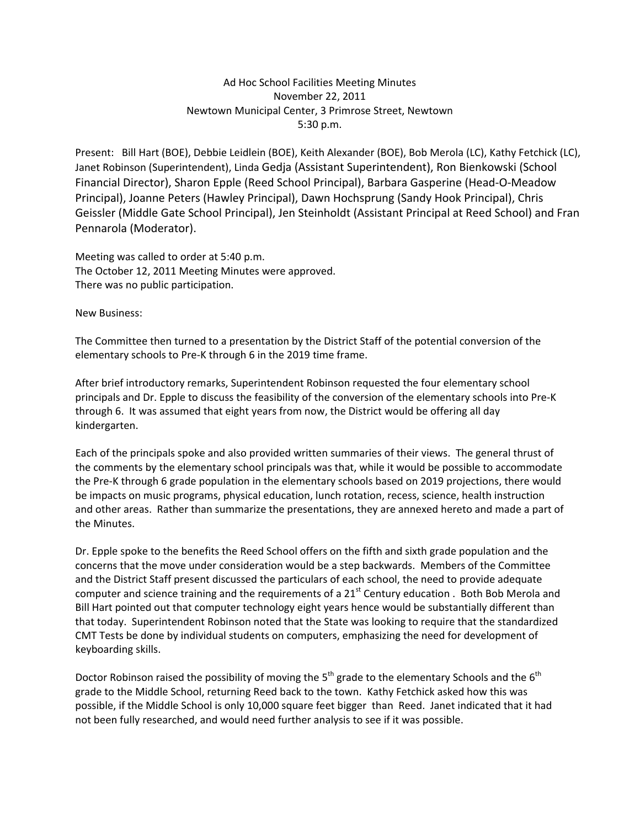## Ad Hoc School Facilities Meeting Minutes November 22, 2011 Newtown Municipal Center, 3 Primrose Street, Newtown 5:30 p.m.

Present: Bill Hart (BOE), Debbie Leidlein (BOE), Keith Alexander (BOE), Bob Merola (LC), Kathy Fetchick (LC), Janet Robinson (Superintendent), Linda Gedja (Assistant Superintendent), Ron Bienkowski (School Financial Director), Sharon Epple (Reed School Principal), Barbara Gasperine (Head‐O‐Meadow Principal), Joanne Peters (Hawley Principal), Dawn Hochsprung (Sandy Hook Principal), Chris Geissler (Middle Gate School Principal), Jen Steinholdt (Assistant Principal at Reed School) and Fran Pennarola (Moderator).

Meeting was called to order at 5:40 p.m. The October 12, 2011 Meeting Minutes were approved. There was no public participation.

New Business:

The Committee then turned to a presentation by the District Staff of the potential conversion of the elementary schools to Pre‐K through 6 in the 2019 time frame.

After brief introductory remarks, Superintendent Robinson requested the four elementary school principals and Dr. Epple to discuss the feasibility of the conversion of the elementary schools into Pre‐K through 6. It was assumed that eight years from now, the District would be offering all day kindergarten.

Each of the principals spoke and also provided written summaries of their views. The general thrust of the comments by the elementary school principals was that, while it would be possible to accommodate the Pre-K through 6 grade population in the elementary schools based on 2019 projections, there would be impacts on music programs, physical education, lunch rotation, recess, science, health instruction and other areas. Rather than summarize the presentations, they are annexed hereto and made a part of the Minutes.

Dr. Epple spoke to the benefits the Reed School offers on the fifth and sixth grade population and the concerns that the move under consideration would be a step backwards. Members of the Committee and the District Staff present discussed the particulars of each school, the need to provide adequate computer and science training and the requirements of a  $21<sup>st</sup>$  Century education . Both Bob Merola and Bill Hart pointed out that computer technology eight years hence would be substantially different than that today. Superintendent Robinson noted that the State was looking to require that the standardized CMT Tests be done by individual students on computers, emphasizing the need for development of keyboarding skills.

Doctor Robinson raised the possibility of moving the  $5<sup>th</sup>$  grade to the elementary Schools and the  $6<sup>th</sup>$ grade to the Middle School, returning Reed back to the town. Kathy Fetchick asked how this was possible, if the Middle School is only 10,000 square feet bigger than Reed. Janet indicated that it had not been fully researched, and would need further analysis to see if it was possible.